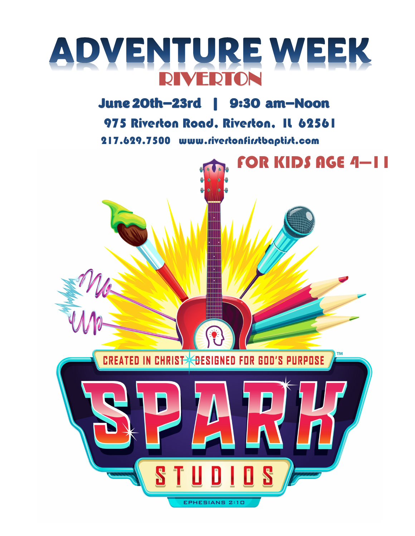

## June 20th—23rd | 9:30 am—Noon

975 Riverton Road, Riverton, IL 62561

217.629.7500 www.rivertonfirstbaptist.com